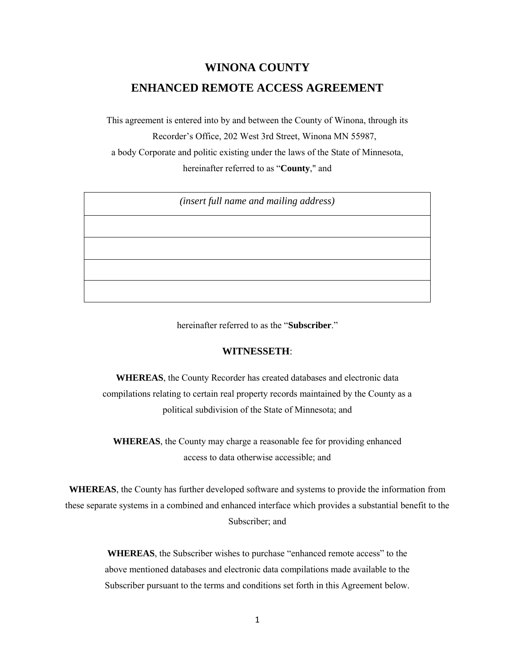# **WINONA COUNTY ENHANCED REMOTE ACCESS AGREEMENT**

This agreement is entered into by and between the County of Winona, through its Recorder's Office, 202 West 3rd Street, Winona MN 55987, a body Corporate and politic existing under the laws of the State of Minnesota, hereinafter referred to as "**County**," and

*(insert full name and mailing address)*

hereinafter referred to as the "**Subscriber**."

## **WITNESSETH**:

**WHEREAS**, the County Recorder has created databases and electronic data compilations relating to certain real property records maintained by the County as a political subdivision of the State of Minnesota; and

**WHEREAS**, the County may charge a reasonable fee for providing enhanced access to data otherwise accessible; and

**WHEREAS**, the County has further developed software and systems to provide the information from these separate systems in a combined and enhanced interface which provides a substantial benefit to the Subscriber; and

> **WHEREAS**, the Subscriber wishes to purchase "enhanced remote access" to the above mentioned databases and electronic data compilations made available to the Subscriber pursuant to the terms and conditions set forth in this Agreement below.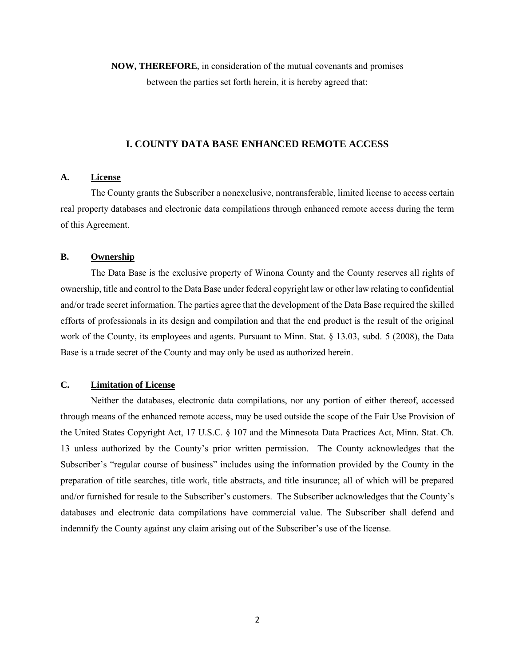**NOW, THEREFORE**, in consideration of the mutual covenants and promises between the parties set forth herein, it is hereby agreed that:

#### **I. COUNTY DATA BASE ENHANCED REMOTE ACCESS**

#### **A. License**

The County grants the Subscriber a nonexclusive, nontransferable, limited license to access certain real property databases and electronic data compilations through enhanced remote access during the term of this Agreement.

## **B. Ownership**

The Data Base is the exclusive property of Winona County and the County reserves all rights of ownership, title and control to the Data Base under federal copyright law or other law relating to confidential and/or trade secret information. The parties agree that the development of the Data Base required the skilled efforts of professionals in its design and compilation and that the end product is the result of the original work of the County, its employees and agents. Pursuant to Minn. Stat. § 13.03, subd. 5 (2008), the Data Base is a trade secret of the County and may only be used as authorized herein.

## **C. Limitation of License**

Neither the databases, electronic data compilations, nor any portion of either thereof, accessed through means of the enhanced remote access, may be used outside the scope of the Fair Use Provision of the United States Copyright Act, 17 U.S.C. § 107 and the Minnesota Data Practices Act, Minn. Stat. Ch. 13 unless authorized by the County's prior written permission. The County acknowledges that the Subscriber's "regular course of business" includes using the information provided by the County in the preparation of title searches, title work, title abstracts, and title insurance; all of which will be prepared and/or furnished for resale to the Subscriber's customers. The Subscriber acknowledges that the County's databases and electronic data compilations have commercial value. The Subscriber shall defend and indemnify the County against any claim arising out of the Subscriber's use of the license.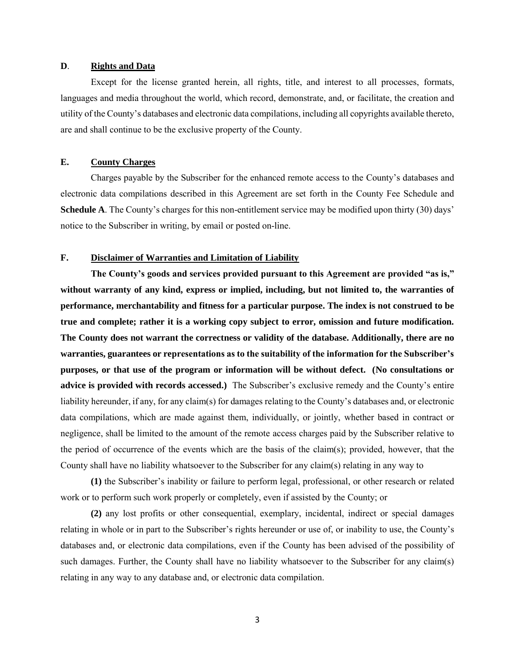## **D**. **Rights and Data**

Except for the license granted herein, all rights, title, and interest to all processes, formats, languages and media throughout the world, which record, demonstrate, and, or facilitate, the creation and utility of the County's databases and electronic data compilations, including all copyrights available thereto, are and shall continue to be the exclusive property of the County.

## **E. County Charges**

Charges payable by the Subscriber for the enhanced remote access to the County's databases and electronic data compilations described in this Agreement are set forth in the County Fee Schedule and **Schedule A**. The County's charges for this non-entitlement service may be modified upon thirty (30) days' notice to the Subscriber in writing, by email or posted on-line.

## **F. Disclaimer of Warranties and Limitation of Liability**

**The County's goods and services provided pursuant to this Agreement are provided "as is," without warranty of any kind, express or implied, including, but not limited to, the warranties of performance, merchantability and fitness for a particular purpose. The index is not construed to be true and complete; rather it is a working copy subject to error, omission and future modification. The County does not warrant the correctness or validity of the database. Additionally, there are no warranties, guarantees or representations as to the suitability of the information for the Subscriber's purposes, or that use of the program or information will be without defect. (No consultations or advice is provided with records accessed.)** The Subscriber's exclusive remedy and the County's entire liability hereunder, if any, for any claim(s) for damages relating to the County's databases and, or electronic data compilations, which are made against them, individually, or jointly, whether based in contract or negligence, shall be limited to the amount of the remote access charges paid by the Subscriber relative to the period of occurrence of the events which are the basis of the claim(s); provided, however, that the County shall have no liability whatsoever to the Subscriber for any claim(s) relating in any way to

**(1)** the Subscriber's inability or failure to perform legal, professional, or other research or related work or to perform such work properly or completely, even if assisted by the County; or

**(2)** any lost profits or other consequential, exemplary, incidental, indirect or special damages relating in whole or in part to the Subscriber's rights hereunder or use of, or inability to use, the County's databases and, or electronic data compilations, even if the County has been advised of the possibility of such damages. Further, the County shall have no liability whatsoever to the Subscriber for any claim(s) relating in any way to any database and, or electronic data compilation.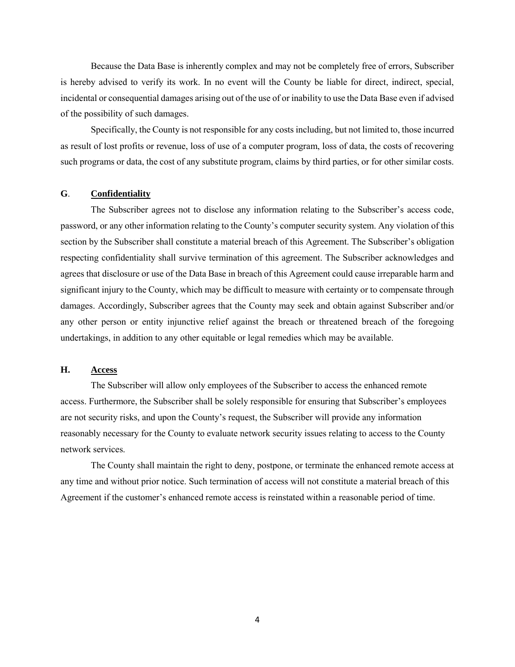Because the Data Base is inherently complex and may not be completely free of errors, Subscriber is hereby advised to verify its work. In no event will the County be liable for direct, indirect, special, incidental or consequential damages arising out of the use of or inability to use the Data Base even if advised of the possibility of such damages.

 Specifically, the County is not responsible for any costs including, but not limited to, those incurred as result of lost profits or revenue, loss of use of a computer program, loss of data, the costs of recovering such programs or data, the cost of any substitute program, claims by third parties, or for other similar costs.

## **G**. **Confidentiality**

The Subscriber agrees not to disclose any information relating to the Subscriber's access code, password, or any other information relating to the County's computer security system. Any violation of this section by the Subscriber shall constitute a material breach of this Agreement. The Subscriber's obligation respecting confidentiality shall survive termination of this agreement. The Subscriber acknowledges and agrees that disclosure or use of the Data Base in breach of this Agreement could cause irreparable harm and significant injury to the County, which may be difficult to measure with certainty or to compensate through damages. Accordingly, Subscriber agrees that the County may seek and obtain against Subscriber and/or any other person or entity injunctive relief against the breach or threatened breach of the foregoing undertakings, in addition to any other equitable or legal remedies which may be available.

#### **H. Access**

The Subscriber will allow only employees of the Subscriber to access the enhanced remote access. Furthermore, the Subscriber shall be solely responsible for ensuring that Subscriber's employees are not security risks, and upon the County's request, the Subscriber will provide any information reasonably necessary for the County to evaluate network security issues relating to access to the County network services.

The County shall maintain the right to deny, postpone, or terminate the enhanced remote access at any time and without prior notice. Such termination of access will not constitute a material breach of this Agreement if the customer's enhanced remote access is reinstated within a reasonable period of time.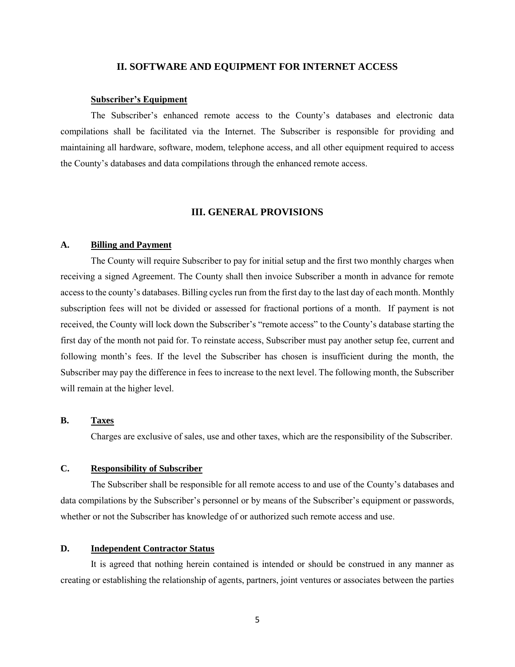### **II. SOFTWARE AND EQUIPMENT FOR INTERNET ACCESS**

#### **Subscriber's Equipment**

The Subscriber's enhanced remote access to the County's databases and electronic data compilations shall be facilitated via the Internet. The Subscriber is responsible for providing and maintaining all hardware, software, modem, telephone access, and all other equipment required to access the County's databases and data compilations through the enhanced remote access.

#### **III. GENERAL PROVISIONS**

## **A. Billing and Payment**

The County will require Subscriber to pay for initial setup and the first two monthly charges when receiving a signed Agreement. The County shall then invoice Subscriber a month in advance for remote access to the county's databases. Billing cycles run from the first day to the last day of each month. Monthly subscription fees will not be divided or assessed for fractional portions of a month. If payment is not received, the County will lock down the Subscriber's "remote access" to the County's database starting the first day of the month not paid for. To reinstate access, Subscriber must pay another setup fee, current and following month's fees. If the level the Subscriber has chosen is insufficient during the month, the Subscriber may pay the difference in fees to increase to the next level. The following month, the Subscriber will remain at the higher level.

#### **B. Taxes**

Charges are exclusive of sales, use and other taxes, which are the responsibility of the Subscriber.

## **C. Responsibility of Subscriber**

The Subscriber shall be responsible for all remote access to and use of the County's databases and data compilations by the Subscriber's personnel or by means of the Subscriber's equipment or passwords, whether or not the Subscriber has knowledge of or authorized such remote access and use.

## **D. Independent Contractor Status**

It is agreed that nothing herein contained is intended or should be construed in any manner as creating or establishing the relationship of agents, partners, joint ventures or associates between the parties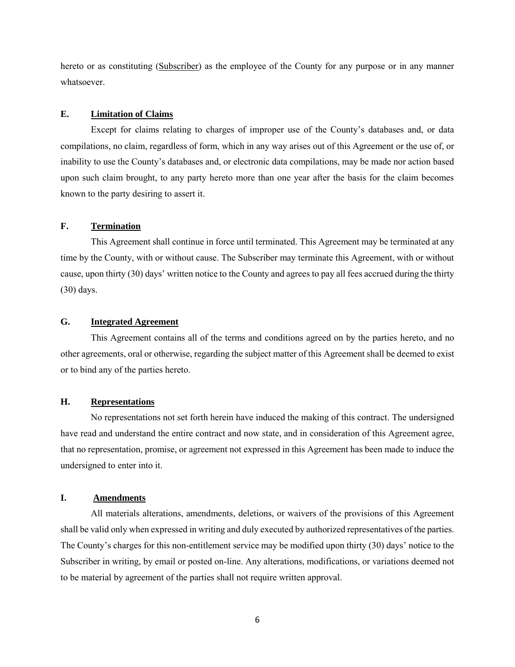hereto or as constituting (Subscriber) as the employee of the County for any purpose or in any manner whatsoever.

#### **E. Limitation of Claims**

Except for claims relating to charges of improper use of the County's databases and, or data compilations, no claim, regardless of form, which in any way arises out of this Agreement or the use of, or inability to use the County's databases and, or electronic data compilations, may be made nor action based upon such claim brought, to any party hereto more than one year after the basis for the claim becomes known to the party desiring to assert it.

#### **F. Termination**

This Agreement shall continue in force until terminated. This Agreement may be terminated at any time by the County, with or without cause. The Subscriber may terminate this Agreement, with or without cause, upon thirty (30) days' written notice to the County and agrees to pay all fees accrued during the thirty (30) days.

## **G. Integrated Agreement**

This Agreement contains all of the terms and conditions agreed on by the parties hereto, and no other agreements, oral or otherwise, regarding the subject matter of this Agreement shall be deemed to exist or to bind any of the parties hereto.

#### **H. Representations**

No representations not set forth herein have induced the making of this contract. The undersigned have read and understand the entire contract and now state, and in consideration of this Agreement agree, that no representation, promise, or agreement not expressed in this Agreement has been made to induce the undersigned to enter into it.

## **I. Amendments**

All materials alterations, amendments, deletions, or waivers of the provisions of this Agreement shall be valid only when expressed in writing and duly executed by authorized representatives of the parties. The County's charges for this non-entitlement service may be modified upon thirty (30) days' notice to the Subscriber in writing, by email or posted on-line. Any alterations, modifications, or variations deemed not to be material by agreement of the parties shall not require written approval.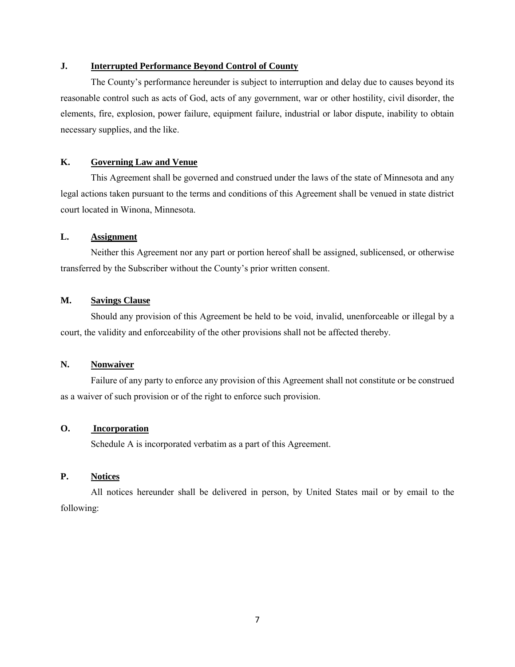## **J. Interrupted Performance Beyond Control of County**

The County's performance hereunder is subject to interruption and delay due to causes beyond its reasonable control such as acts of God, acts of any government, war or other hostility, civil disorder, the elements, fire, explosion, power failure, equipment failure, industrial or labor dispute, inability to obtain necessary supplies, and the like.

## **K. Governing Law and Venue**

This Agreement shall be governed and construed under the laws of the state of Minnesota and any legal actions taken pursuant to the terms and conditions of this Agreement shall be venued in state district court located in Winona, Minnesota.

## **L. Assignment**

Neither this Agreement nor any part or portion hereof shall be assigned, sublicensed, or otherwise transferred by the Subscriber without the County's prior written consent.

## **M. Savings Clause**

Should any provision of this Agreement be held to be void, invalid, unenforceable or illegal by a court, the validity and enforceability of the other provisions shall not be affected thereby.

## **N. Nonwaiver**

Failure of any party to enforce any provision of this Agreement shall not constitute or be construed as a waiver of such provision or of the right to enforce such provision.

## **O. Incorporation**

Schedule A is incorporated verbatim as a part of this Agreement.

## **P. Notices**

All notices hereunder shall be delivered in person, by United States mail or by email to the following: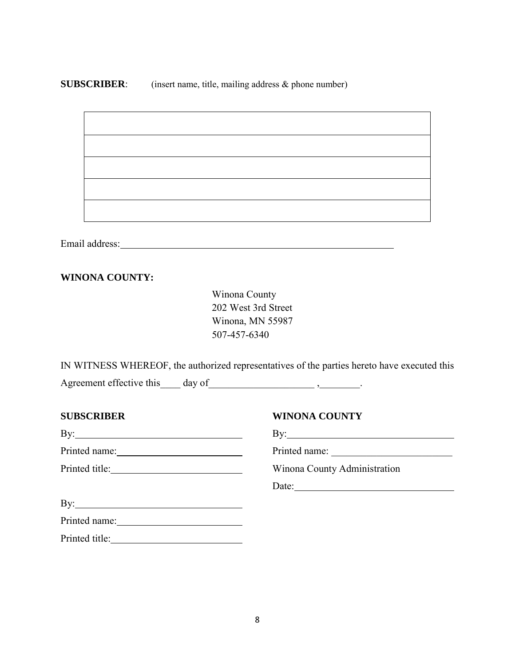## **SUBSCRIBER:** (insert name, title, mailing address & phone number)

Email address:

## **WINONA COUNTY:**

Winona County 202 West 3rd Street Winona, MN 55987 507-457-6340

IN WITNESS WHEREOF, the authorized representatives of the parties hereto have executed this Agreement effective this\_\_\_\_ day of\_\_\_\_\_\_\_\_\_\_\_\_\_\_\_\_\_\_\_\_\_ ,\_\_\_\_\_\_\_\_.

| <b>SUBSCRIBER</b> | <b>WINONA COUNTY</b>                                                                                                                                                                                                                                                                                                                                                                                                   |
|-------------------|------------------------------------------------------------------------------------------------------------------------------------------------------------------------------------------------------------------------------------------------------------------------------------------------------------------------------------------------------------------------------------------------------------------------|
|                   | $\mathbf{By:}\_\_\_\_\_\_\_\_$                                                                                                                                                                                                                                                                                                                                                                                         |
|                   | Printed name:                                                                                                                                                                                                                                                                                                                                                                                                          |
|                   | Winona County Administration                                                                                                                                                                                                                                                                                                                                                                                           |
|                   | Date: $\frac{1}{\sqrt{1-\frac{1}{2}}}\left\{ \frac{1}{2}, \frac{1}{2}, \frac{1}{2}, \frac{1}{2}, \frac{1}{2}, \frac{1}{2}, \frac{1}{2}, \frac{1}{2}, \frac{1}{2}, \frac{1}{2}, \frac{1}{2}, \frac{1}{2}, \frac{1}{2}, \frac{1}{2}, \frac{1}{2}, \frac{1}{2}, \frac{1}{2}, \frac{1}{2}, \frac{1}{2}, \frac{1}{2}, \frac{1}{2}, \frac{1}{2}, \frac{1}{2}, \frac{1}{2}, \frac{1}{2}, \frac{1}{2}, \frac{1}{2}, \frac{1}{$ |
|                   |                                                                                                                                                                                                                                                                                                                                                                                                                        |
| Printed name:     |                                                                                                                                                                                                                                                                                                                                                                                                                        |
|                   |                                                                                                                                                                                                                                                                                                                                                                                                                        |